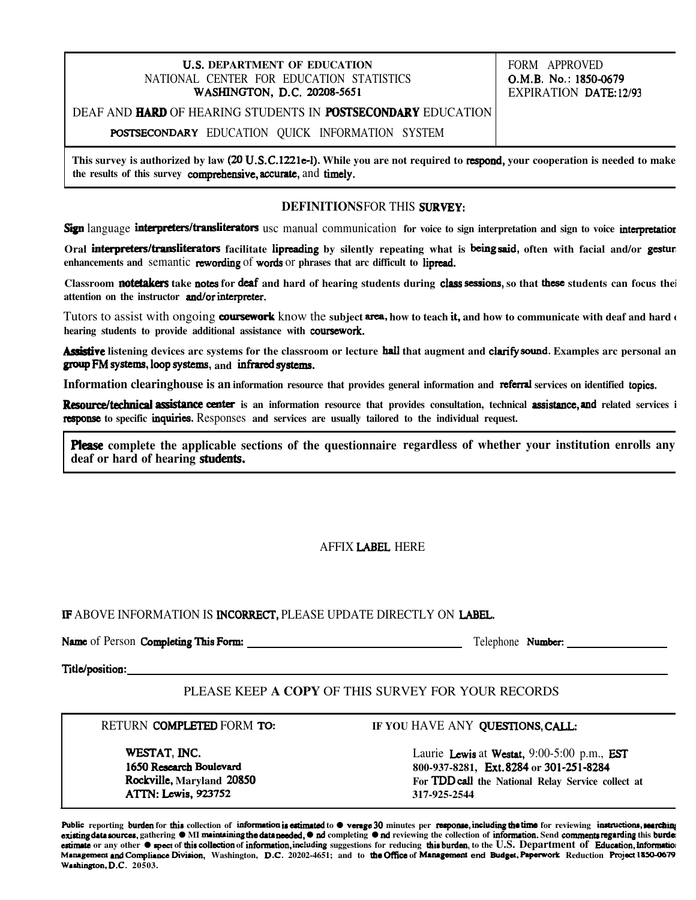### **U.S. DEPARTMENT OF EDUCATION FORM APPROVED** NATIONAL CENTER FOR EDUCATION STATISTICS WASHINGTON, D.C. 20208-5651

O.M.B. No.: 1850-0679 EXPIRATION DATE: 12/93

## DEAF AND **HARD** OF HEARING STUDENTS IN **POSTSECONDARY** EDUCATION

POSTSECONDARY EDUCATION QUICK INFORMATION SYSTEM

This survey is authorized by law (20 U.S.C.1221e-l). While you are not required to respond, your cooperation is needed to make the results of this survey **comprehensive**, accurate, and timely.

## **DEFINITIONSFOR THIS SURVEY:**

Sign language interpreters/transliterators usc manual communication for voice to sign interpretation and sign to voice interpretation

Oral **interpreters/transliterators** facilitate lipreading by silently repeating what is being said, often with facial and/or gesture enhancements and semantic rewording of words or phrases that arc difficult to lipread.

Classroom **notetakers** take notes for deaf and hard of hearing students during class sessions, so that these students can focus thei attention on the instructor **and/or interpreter.** 

Tutors to assist with ongoing coursework know the subject area, how to teach it, and how to communicate with deaf and hard of hearing students to provide additional assistance with **coursework**.

**Assistive** listening devices arc systems for the classroom or lecture hall that augment and clarify sound. Examples arc personal an group FM systems, loop systems, and infrared systems.

Information clearinghouse is an information resource that provides general information and referral services on identified topics.

**Resource/technical assistance center** is an information resource that provides consultation, technical **assistance**, and related services i  **response** to specific *inquiries*. Responses and services are usually tailored to the individual request.

 **complete the applicable sections of the questionnaire regardless of whether your institution enrolls any deaf or hard of hearing** 

# **AFFIX LABEL HERE**

## IF ABOVE INFORMATION IS INCORRECT, PLEASE UPDATE DIRECTLY ON LABEL.

Name of Person Completing This Form: Telephone Number:

Title/position:

## PLEASE KEEP **A COPY** OF THIS SURVEY FOR YOUR RECORDS

WESTAT. INC. 1650 Research Boulevard

### RETURN **COMPLETED** FORM **TO:** IF YOU HAVE ANY **QUESTIONS**, CALL:

Laurie Lewis at Westat, 9:00-5:00 p.m., EST 800-937-8281, Ext. 8284 or 301-251-8284 **Rockville, Maryland 20850**<br> **ATTN: Lewis, 923752**<br> **ATTN: Lewis, 923752**<br> **ATTN: Lewis, 923752**<br> **ATTN: Lewis, 923752 317-925-2544**

Public reporting burden for this collection of information is estimated to  $\bullet$  verage 30 minutes per response, including the time for reviewing instructions, searching existing data sources, gathering ● MI maintaining the data needed, ● nd completing ● nd reviewing the collection of information. Send comments regarding this burder estimate or any other ● **spect of this collection of information**, including suggestions for reducing this burden, to the U.S. Department of Education, Information Management and Compliance Division, Washington, D.C. 20202-4651; and to the Office of Management end Budget, Paperwork Reduction Project 1850-0679 Washington, D.C. 20503.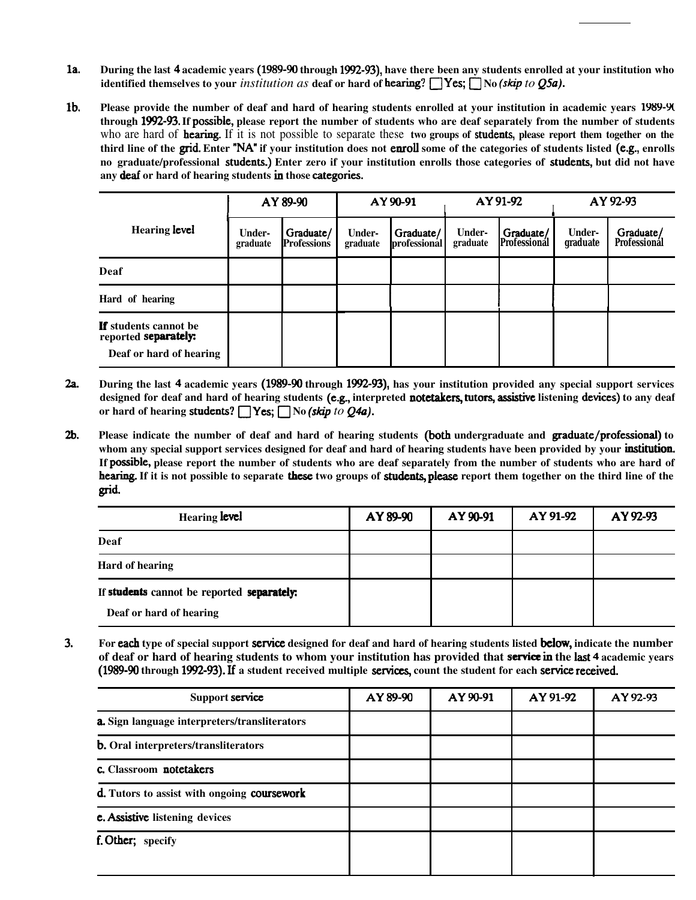- $1a.$ During the last 4 academic years (1989-90 through 1992-93), have there been any students enrolled at your institution who **identified themselves to your** *institution as* **deaf or hard of <b>hearing**?  $\Box$  Yes;  $\Box$  No (*skip to O5a*).
- $1<sub>b</sub>$ **Please provide the number of deaf and hard of hearing students enrolled at your institution in academic years**  through 1992-93. If possible, please report the number of students who are deaf separately from the number of students who are hard of **hearing**. If it is not possible to separate these **two groups of students**, please report them together on the third line of the grid. Enter "NA" if your institution does not enroll some of the categories of students listed (e.g., enrolls no graduate/professional **students.**) Enter zero if your institution enrolls those categories of **students**, but did not have any deaf or hard of hearing students in those categories.

|                                                                                        | AY 89-90           |                                 | AY 90-91                  |                           | AY 91-92                  |                                  | AY 92-93                  |                                  |
|----------------------------------------------------------------------------------------|--------------------|---------------------------------|---------------------------|---------------------------|---------------------------|----------------------------------|---------------------------|----------------------------------|
| Hearing level                                                                          | Under-<br>graduate | Graduate/<br><b>Professions</b> | <b>Under-</b><br>graduate | Graduate/<br>professional | <b>Under-</b><br>graduate | Graduate/<br><b>Professional</b> | <b>Under-</b><br>graduate | Graduate/<br><b>Professional</b> |
| <b>Deaf</b>                                                                            |                    |                                 |                           |                           |                           |                                  |                           |                                  |
| Hard of hearing                                                                        |                    |                                 |                           |                           |                           |                                  |                           |                                  |
| <b>If</b> students cannot be<br>reported <b>separately:</b><br>Deaf or hard of hearing |                    |                                 |                           |                           |                           |                                  |                           |                                  |

- During the last 4 academic years (1989-90 through 1992-93), has your institution provided any special support services  $2a.$ designed for deaf and hard of hearing students (e.g., interpreted notetakers, tutors, assistive listening devices) to any deaf or hard of hearing students?  $\Box$  Yes;  $\Box$  No *(skip to Q4a)*.
- $2<sub>b</sub>$ Please indicate the number of deaf and hard of hearing students (both undergraduate and **graduate/professional**) to whom any special support services designed for deaf and hard of hearing students have been provided by your **institution**. If possible, please report the number of students who are deaf separately from the number of students who are hard of **hearing.** If it is not possible to separate **these** two groups of **students**, please report them together on the third line of the grid.

| <b>Hearing level</b>                       | AY 89-90 | AY 90-91 | AY 91-92 | AY 92-93 |
|--------------------------------------------|----------|----------|----------|----------|
| Deaf                                       |          |          |          |          |
| <b>Hard of hearing</b>                     |          |          |          |          |
| If students cannot be reported separately: |          |          |          |          |
| Deaf or hard of hearing                    |          |          |          |          |

 $3.$ For each type of special support service designed for deaf and hard of hearing students listed below, indicate the number of deaf or hard of hearing students to whom your institution has provided that **service in** the last 4 academic years (1989-90 through 1992-93). If a student received multiple services, count the student for each service received.

| Support service                               | AY 89-90 | AY 90-91 | AY 91-92 | AY 92-93 |
|-----------------------------------------------|----------|----------|----------|----------|
| a. Sign language interpreters/transliterators |          |          |          |          |
| <b>b.</b> Oral interpreters/transliterators   |          |          |          |          |
| c. Classroom notetakers                       |          |          |          |          |
| d. Tutors to assist with ongoing coursework   |          |          |          |          |
| <b>c.</b> Assistive listening devices         |          |          |          |          |
| f. Other; specify                             |          |          |          |          |